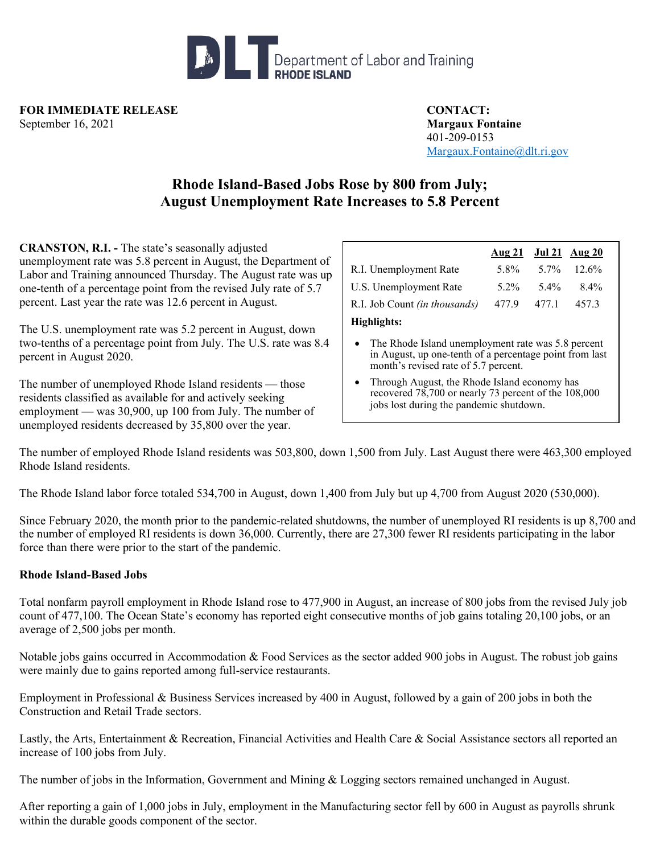

**FOR IMMEDIATE RELEASE CONTACT:** September 16, 2021 **Margaux Fontaine**

401-209-0153 [Margaux.Fontaine@dlt.ri.gov](mailto:Margaux.Fontaine@dlt.ri.gov)

## **Rhode Island-Based Jobs Rose by 800 from July; August Unemployment Rate Increases to 5.8 Percent**

**CRANSTON, R.I. -** The state's seasonally adjusted unemployment rate was 5.8 percent in August, the Department of Labor and Training announced Thursday. The August rate was up one-tenth of a percentage point from the revised July rate of 5.7 percent. Last year the rate was 12.6 percent in August.

The U.S. unemployment rate was 5.2 percent in August, down two-tenths of a percentage point from July. The U.S. rate was 8.4 percent in August 2020.

The number of unemployed Rhode Island residents — those residents classified as available for and actively seeking employment — was 30,900, up 100 from July. The number of unemployed residents decreased by 35,800 over the year.

|                                      | <u>Aug 21 Jul 21 Aug 20</u> |            |       |
|--------------------------------------|-----------------------------|------------|-------|
| R.I. Unemployment Rate               | 5.8%                        | 5.7% 12.6% |       |
| U.S. Unemployment Rate               | 5.2%                        | 5.4%       | 8.4%  |
| R.I. Job Count <i>(in thousands)</i> | 477.9                       | 477.1      | 457.3 |
| Highlights:                          |                             |            |       |

- The Rhode Island unemployment rate was 5.8 percent in August, up one-tenth of a percentage point from last month's revised rate of 5.7 percent.
- Through August, the Rhode Island economy has recovered 78,700 or nearly 73 percent of the 108,000 jobs lost during the pandemic shutdown.

The number of employed Rhode Island residents was 503,800, down 1,500 from July. Last August there were 463,300 employed Rhode Island residents.

The Rhode Island labor force totaled 534,700 in August, down 1,400 from July but up 4,700 from August 2020 (530,000).

Since February 2020, the month prior to the pandemic-related shutdowns, the number of unemployed RI residents is up 8,700 and the number of employed RI residents is down 36,000. Currently, there are 27,300 fewer RI residents participating in the labor force than there were prior to the start of the pandemic.

## **Rhode Island-Based Jobs**

Total nonfarm payroll employment in Rhode Island rose to 477,900 in August, an increase of 800 jobs from the revised July job count of 477,100. The Ocean State's economy has reported eight consecutive months of job gains totaling 20,100 jobs, or an average of 2,500 jobs per month.

Notable jobs gains occurred in Accommodation & Food Services as the sector added 900 jobs in August. The robust job gains were mainly due to gains reported among full-service restaurants.

Employment in Professional & Business Services increased by 400 in August, followed by a gain of 200 jobs in both the Construction and Retail Trade sectors.

Lastly, the Arts, Entertainment & Recreation, Financial Activities and Health Care & Social Assistance sectors all reported an increase of 100 jobs from July.

The number of jobs in the Information, Government and Mining & Logging sectors remained unchanged in August.

After reporting a gain of 1,000 jobs in July, employment in the Manufacturing sector fell by 600 in August as payrolls shrunk within the durable goods component of the sector.